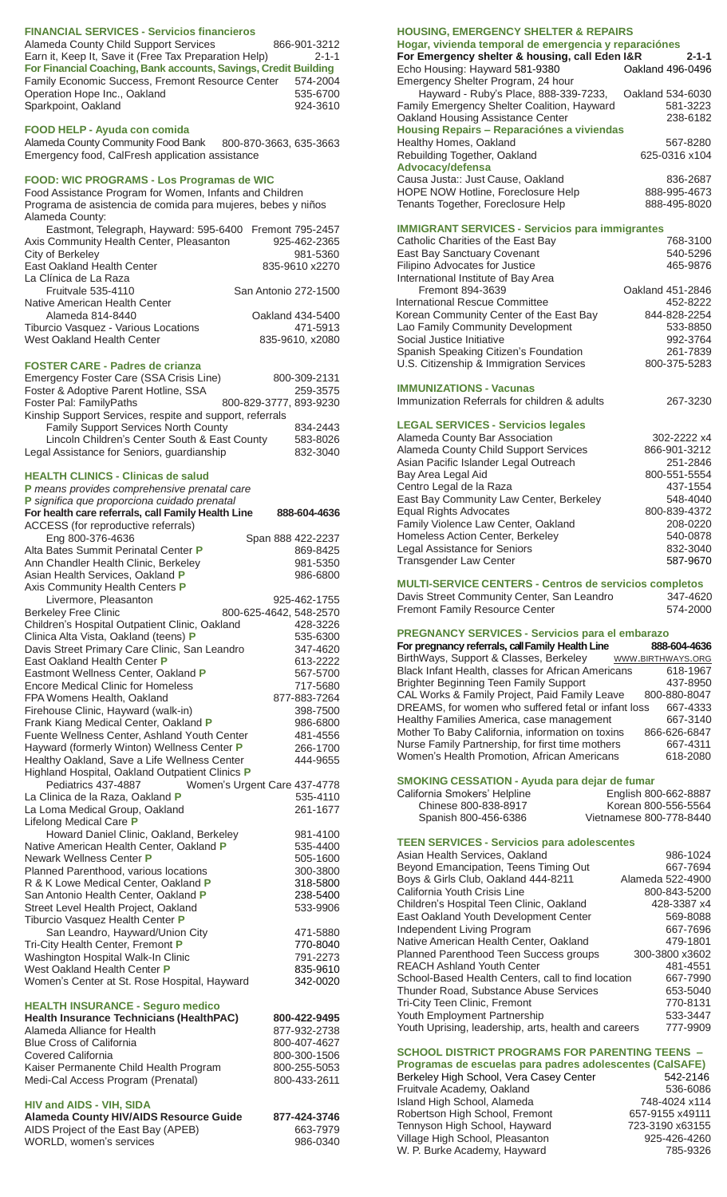#### **FINANCIAL SERVICES - Servicios financieros**

| 866-901-3212                                                    |
|-----------------------------------------------------------------|
| $2 - 1 - 1$                                                     |
| For Financial Coaching, Bank accounts, Savings, Credit Building |
| Family Economic Success, Fremont Resource Center<br>574-2004    |
| 535-6700                                                        |
| 924-3610                                                        |
|                                                                 |

#### **FOOD HELP - Ayuda con comida**

Alameda County Community Food Bank 800-870-3663, 635-3663 Emergency food, CalFresh application assistance

## **FOOD: WIC PROGRAMS - Los Programas de WIC**

Food Assistance Program for Women, Infants and Children Programa de asistencia de comida para mujeres, bebes y niños Alameda County:

| Eastmont, Telegraph, Hayward: 595-6400 Fremont 795-2457 |                      |
|---------------------------------------------------------|----------------------|
| Axis Community Health Center, Pleasanton                | 925-462-2365         |
| City of Berkeley                                        | 981-5360             |
| East Oakland Health Center                              | 835-9610 x2270       |
| La Clínica de La Raza                                   |                      |
| Fruitvale 535-4110                                      | San Antonio 272-1500 |
| Native American Health Center                           |                      |
| Alameda 814-8440                                        | Oakland 434-5400     |
| Tiburcio Vasquez - Various Locations                    | 471-5913             |
| West Oakland Health Center                              | 835-9610, x2080      |
|                                                         |                      |

#### **FOSTER CARE - Padres de crianza**

| Emergency Foster Care (SSA Crisis Line)                  | 800-309-2131           |  |
|----------------------------------------------------------|------------------------|--|
| Foster & Adoptive Parent Hotline, SSA                    | 259-3575               |  |
| Foster Pal: FamilyPaths                                  | 800-829-3777, 893-9230 |  |
| Kinship Support Services, respite and support, referrals |                        |  |
| Family Support Services North County                     | 834-2443               |  |
| Lincoln Children's Center South & East County            | 583-8026               |  |
| Legal Assistance for Seniors, guardianship               | 832-3040               |  |

#### **HEALTH CLINICS - Clinicas de salud**

| , _______                                                                                  |                              |
|--------------------------------------------------------------------------------------------|------------------------------|
| P means provides comprehensive prenatal care                                               |                              |
| P significa que proporciona cuidado prenatal                                               |                              |
| For health care referrals, call Family Health Line                                         | 888-604-4636                 |
| ACCESS (for reproductive referrals)                                                        |                              |
| Eng 800-376-4636                                                                           | Span 888 422-2237            |
| Alta Bates Summit Perinatal Center P                                                       | 869-8425                     |
| Ann Chandler Health Clinic, Berkeley                                                       | 981-5350                     |
| Asian Health Services, Oakland P                                                           | 986-6800                     |
| Axis Community Health Centers P                                                            |                              |
| Livermore, Pleasanton                                                                      | 925-462-1755                 |
| <b>Berkeley Free Clinic</b>                                                                | 800-625-4642, 548-2570       |
| Children's Hospital Outpatient Clinic, Oakland                                             | 428-3226                     |
| Clinica Alta Vista, Oakland (teens) P                                                      | 535-6300                     |
| Davis Street Primary Care Clinic, San Leandro                                              | 347-4620                     |
| East Oakland Health Center P                                                               | 613-2222                     |
| Eastmont Wellness Center, Oakland P                                                        | 567-5700                     |
| <b>Encore Medical Clinic for Homeless</b>                                                  | 717-5680                     |
| FPA Womens Health, Oakland                                                                 | 877-883-7264                 |
| Firehouse Clinic, Hayward (walk-in)                                                        | 398-7500                     |
| Frank Kiang Medical Center, Oakland P                                                      | 986-6800                     |
| Fuente Wellness Center, Ashland Youth Center                                               | 481-4556                     |
| Hayward (formerly Winton) Wellness Center P                                                | 266-1700                     |
| Healthy Oakland, Save a Life Wellness Center                                               | 444-9655                     |
| Highland Hospital, Oakland Outpatient Clinics P                                            |                              |
| Pediatrics 437-4887                                                                        | Women's Urgent Care 437-4778 |
| La Clinica de la Raza, Oakland P                                                           | 535-4110                     |
| La Loma Medical Group, Oakland                                                             | 261-1677                     |
| Lifelong Medical Care P                                                                    |                              |
| Howard Daniel Clinic, Oakland, Berkeley                                                    | 981-4100                     |
| Native American Health Center, Oakland P                                                   | 535-4400                     |
| Newark Wellness Center P                                                                   | 505-1600                     |
| Planned Parenthood, various locations                                                      | 300-3800                     |
| R & K Lowe Medical Center, Oakland P                                                       | 318-5800                     |
| San Antonio Health Center, Oakland P                                                       | 238-5400                     |
| Street Level Health Project, Oakland                                                       | 533-9906                     |
| Tiburcio Vasquez Health Center P                                                           |                              |
| San Leandro, Hayward/Union City                                                            | 471-5880                     |
| Tri-City Health Center, Fremont P                                                          | 770-8040                     |
| Washington Hospital Walk-In Clinic                                                         | 791-2273                     |
| West Oakland Health Center P                                                               | 835-9610                     |
| Women's Center at St. Rose Hospital, Hayward                                               | 342-0020                     |
|                                                                                            |                              |
| <b>HEALTH INSURANCE - Seguro medico</b><br><b>Health Insurance Technicians (HealthPAC)</b> | 800-422-9495                 |
|                                                                                            |                              |

#### Alameda Alliance for Health 877-932-2738 Blue Cross of California 600-407-4627<br>Covered California 600-300-1506 Covered California Kaiser Permanente Child Health Program 800-255-5053 Medi-Cal Access Program (Prenatal) 800-433-2611

## **HIV and AIDS - VIH, SIDA**

| <b>Alameda County HIV/AIDS Resource Guide</b> | 877-424-3746 |
|-----------------------------------------------|--------------|
| AIDS Project of the East Bay (APEB)           | 663-7979     |
| WORLD, women's services                       | 986-0340     |

### **HOUSING, EMERGENCY SHELTER & REPAIRS**

| Hogar, vivienda temporal de emergencia y reparaciónes         |                  |  |
|---------------------------------------------------------------|------------------|--|
| For Emergency shelter & housing, call Eden I&R<br>$2 - 1 - 1$ |                  |  |
| Echo Housing: Hayward 581-9380                                | Oakland 496-0496 |  |
| Emergency Shelter Program, 24 hour                            |                  |  |
| Hayward - Ruby's Place, 888-339-7233,                         | Oakland 534-6030 |  |
| Family Emergency Shelter Coalition, Hayward                   | 581-3223         |  |
| Oakland Housing Assistance Center                             | 238-6182         |  |
| Housing Repairs - Reparaciónes a viviendas                    |                  |  |
| Healthy Homes, Oakland                                        | 567-8280         |  |
| Rebuilding Together, Oakland                                  | 625-0316 x104    |  |
| Advocacy/defensa                                              |                  |  |
| Causa Justa:: Just Cause, Oakland                             | 836-2687         |  |
| HOPE NOW Hotline, Foreclosure Help                            | 888-995-4673     |  |
| Tenants Together, Foreclosure Help                            | 888-495-8020     |  |
|                                                               |                  |  |

## **IMMIGRANT SERVICES - Servicios para immigrantes**

| Catholic Charities of the East Bay      | 768-3100         |
|-----------------------------------------|------------------|
| East Bay Sanctuary Covenant             | 540-5296         |
| Filipino Advocates for Justice          | 465-9876         |
| International Institute of Bay Area     |                  |
| Fremont 894-3639                        | Oakland 451-2846 |
| International Rescue Committee          | 452-8222         |
| Korean Community Center of the East Bay | 844-828-2254     |
| Lao Family Community Development        | 533-8850         |
| Social Justice Initiative               | 992-3764         |
| Spanish Speaking Citizen's Foundation   | 261-7839         |
| U.S. Citizenship & Immigration Services | 800-375-5283     |
|                                         |                  |

#### **IMMUNIZATIONS - Vacunas**

Immunization Referrals for children & adults 267-3230

#### **LEGAL SERVICES - Servicios legales**

| Alameda County Bar Association          | 302-2222 x4  |
|-----------------------------------------|--------------|
| Alameda County Child Support Services   | 866-901-3212 |
| Asian Pacific Islander Legal Outreach   | 251-2846     |
| Bay Area Legal Aid                      | 800-551-5554 |
| Centro Legal de la Raza                 | 437-1554     |
| East Bay Community Law Center, Berkeley | 548-4040     |
| <b>Equal Rights Advocates</b>           | 800-839-4372 |
| Family Violence Law Center, Oakland     | 208-0220     |
| Homeless Action Center, Berkeley        | 540-0878     |
| Legal Assistance for Seniors            | 832-3040     |
| <b>Transgender Law Center</b>           | 587-9670     |

**MULTI-SERVICE CENTERS - Centros de servicios completos** Davis Street Community Center, San Leandro 347-4620

| Fremont Family Resource Center | 574-2000 |
|--------------------------------|----------|
|                                |          |

## **PREGNANCY SERVICES - Servicios para el embarazo**

**For pregnancy referrals, call Family Health Line 888-604-4636** BirthWays, Support & Classes, Berkeley WWW.BIRTHWAYS.ORG<br>Black Infant Health, classes for African Americans 618-1967 Black Infant Health, classes for African Americans 618-1967<br>Brighter Beginning Teen Family Support 437-8950 Brighter Beginning Teen Family Support 437-8950<br>CAL Works & Family Project, Paid Family Leave 800-880-8047 CAL Works & Family Project, Paid Family Leave 800-880-8047<br>DREAMS, for women who suffered fetal or infant loss 667-4333 DREAMS, for women who suffered fetal or infant loss 667-4333<br>Healthy Families America, case management 667-3140 Healthy Families America, case management Mother To Baby California, information on toxins 866-626-6847<br>Nurse Family Partnership, for first time mothers 667-4311 Nurse Family Partnership, for first time mothers Women's Health Promotion, African Americans 618-2080

## **SMOKING CESSATION - Ayuda para dejar de fumar** Californ<br>Ch

| ornia Smokers' Helpline | English 800-662-8887    |
|-------------------------|-------------------------|
| Chinese 800-838-8917    | Korean 800-556-5564     |
| Spanish 800-456-6386    | Vietnamese 800-778-8440 |
|                         |                         |

| <b>TEEN SERVICES - Servicios para adolescentes</b> |  |
|----------------------------------------------------|--|
| .                                                  |  |

| Asian Health Services, Oakland                       | 986-1024         |
|------------------------------------------------------|------------------|
| Beyond Emancipation, Teens Timing Out                | 667-7694         |
| Boys & Girls Club, Oakland 444-8211                  | Alameda 522-4900 |
| California Youth Crisis Line                         | 800-843-5200     |
| Children's Hospital Teen Clinic, Oakland             | 428-3387 x4      |
| East Oakland Youth Development Center                | 569-8088         |
| Independent Living Program                           | 667-7696         |
| Native American Health Center, Oakland               | 479-1801         |
| Planned Parenthood Teen Success groups               | 300-3800 x3602   |
| <b>REACH Ashland Youth Center</b>                    | 481-4551         |
| School-Based Health Centers, call to find location   | 667-7990         |
| Thunder Road, Substance Abuse Services               | 653-5040         |
| Tri-City Teen Clinic, Fremont                        | 770-8131         |
| Youth Employment Partnership                         | 533-3447         |
| Youth Uprising, leadership, arts, health and careers | 777-9909         |

## **SCHOOL DISTRICT PROGRAMS FOR PARENTING TEENS –**

| Programas de escuelas para padres adolescentes (CalSAFE) |                 |
|----------------------------------------------------------|-----------------|
| Berkeley High School, Vera Casey Center                  | 542-2146        |
| Fruitvale Academy, Oakland                               | 536-6086        |
| Island High School, Alameda                              | 748-4024 x114   |
| Robertson High School, Fremont                           | 657-9155 x49111 |
| Tennyson High School, Hayward                            | 723-3190 x63155 |
| Village High School, Pleasanton                          | 925-426-4260    |
| W. P. Burke Academy, Hayward                             | 785-9326        |
|                                                          |                 |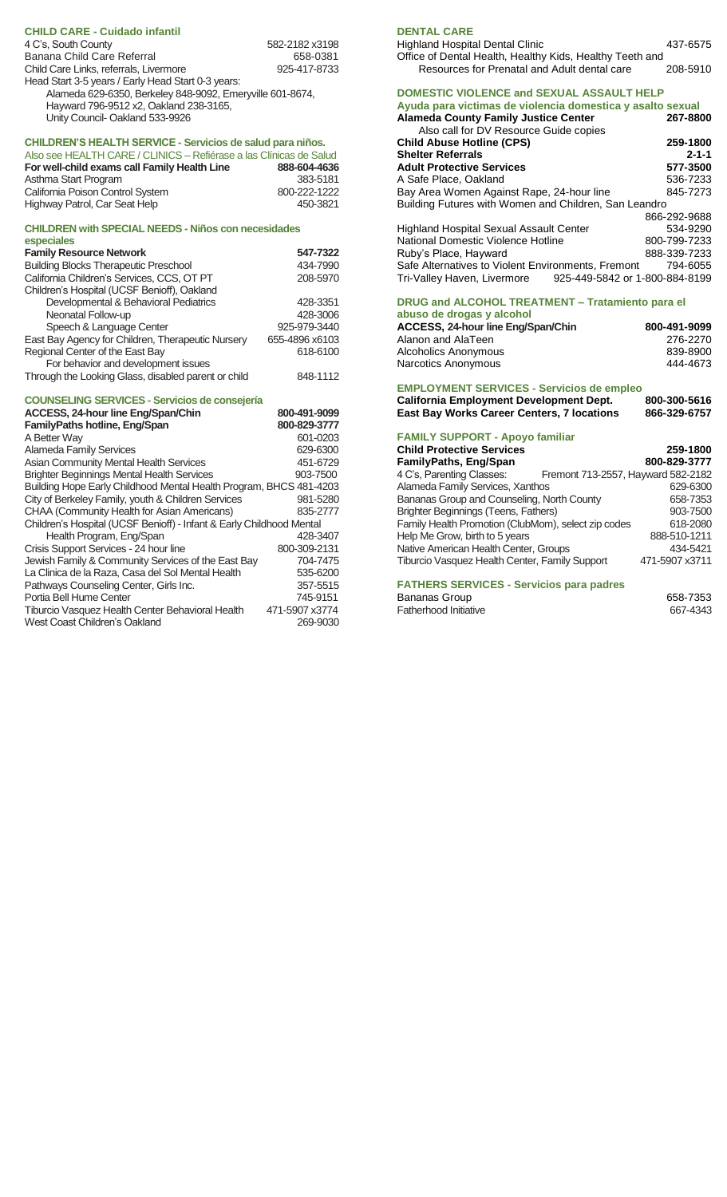| <b>CHILD CARE - Cuidado infantil</b>                      |                |
|-----------------------------------------------------------|----------------|
| 4 C's, South County                                       | 582-2182 x3198 |
| Banana Child Care Referral                                | 658-0381       |
| Child Care Links, referrals, Livermore                    | 925-417-8733   |
| Head Start 3-5 years / Early Head Start 0-3 years:        |                |
| Alameda 629-6350, Berkeley 848-9092, Emeryville 601-8674, |                |
| Hayward 796-9512 x2, Oakland 238-3165,                    |                |
| Unity Council-Oakland 533-9926                            |                |

## **CHILDREN'S HEALTH SERVICE - Servicios de salud para niños.**

| Also see HEALTH CARE / CLINICS - Refiérase a las Clínicas de Salud |              |
|--------------------------------------------------------------------|--------------|
| For well-child exams call Family Health Line                       | 888-604-4636 |
| Asthma Start Program                                               | 383-5181     |
| California Poison Control System                                   | 800-222-1222 |
| Highway Patrol, Car Seat Help                                      | 450-3821     |

## **CHILDREN with SPECIAL NEEDS - Niños con necesidades**

| especiales                                                           |                |
|----------------------------------------------------------------------|----------------|
| <b>Family Resource Network</b>                                       | 547-7322       |
| <b>Building Blocks Therapeutic Preschool</b>                         | 434-7990       |
| California Children's Services, CCS, OT PT                           | 208-5970       |
| Children's Hospital (UCSF Benioff), Oakland                          |                |
| Developmental & Behavioral Pediatrics                                | 428-3351       |
| Neonatal Follow-up                                                   | 428-3006       |
| Speech & Language Center                                             | 925-979-3440   |
| East Bay Agency for Children, Therapeutic Nursery                    | 655-4896 x6103 |
| Regional Center of the East Bay                                      | 618-6100       |
| For behavior and development issues                                  |                |
| Through the Looking Glass, disabled parent or child                  | 848-1112       |
|                                                                      |                |
|                                                                      |                |
| <b>COUNSELING SERVICES - Servicios de consejería</b>                 |                |
| ACCESS, 24-hour line Eng/Span/Chin                                   | 800-491-9099   |
| <b>FamilyPaths hotline, Eng/Span</b>                                 | 800-829-3777   |
| A Better Way                                                         | 601-0203       |
| <b>Alameda Family Services</b>                                       | 629-6300       |
| <b>Asian Community Mental Health Services</b>                        | 451-6729       |
| <b>Brighter Beginnings Mental Health Services</b>                    | 903-7500       |
| Building Hope Early Childhood Mental Health Program, BHCS 481-4203   |                |
| City of Berkeley Family, youth & Children Services                   | 981-5280       |
| CHAA (Community Health for Asian Americans)                          | 835-2777       |
| Children's Hospital (UCSF Benioff) - Infant & Early Childhood Mental |                |
| Health Program, Eng/Span                                             | 428-3407       |

| Jewish Family & Community Services of the East Bay | 704-7475       |
|----------------------------------------------------|----------------|
| La Clinica de la Raza, Casa del Sol Mental Health  | 535-6200       |
| Pathways Counseling Center, Girls Inc.             | 357-5515       |
| Portia Bell Hume Center                            | 745-9151       |
| Tiburcio Vasquez Health Center Behavioral Health   | 471-5907 x3774 |
| West Coast Children's Oakland                      | 269-9030       |

## **DENTAL CARE**

| <b>Highland Hospital Dental Clinic</b>                   | 437-6575 |
|----------------------------------------------------------|----------|
| Office of Dental Health, Healthy Kids, Healthy Teeth and |          |
| Resources for Prenatal and Adult dental care             | 208-5910 |

| DOMESTIC VIOLENCE and SEXUAL ASSAULT HELP<br>Ayuda para victimas de violencia domestica y asalto sexual<br><b>Alameda County Family Justice Center</b><br>Also call for DV Resource Guide copies | 267-8800     |
|--------------------------------------------------------------------------------------------------------------------------------------------------------------------------------------------------|--------------|
| <b>Child Abuse Hotline (CPS)</b>                                                                                                                                                                 | 259-1800     |
| <b>Shelter Referrals</b>                                                                                                                                                                         | $2 - 1 - 1$  |
| <b>Adult Protective Services</b>                                                                                                                                                                 | 577-3500     |
| A Safe Place, Oakland                                                                                                                                                                            | 536-7233     |
| Bay Area Women Against Rape, 24-hour line                                                                                                                                                        | 845-7273     |
| Building Futures with Women and Children, San Leandro                                                                                                                                            |              |
|                                                                                                                                                                                                  | 866-292-9688 |
| Highland Hospital Sexual Assault Center                                                                                                                                                          | 534-9290     |
| National Domestic Violence Hotline                                                                                                                                                               | 800-799-7233 |
| Ruby's Place, Hayward                                                                                                                                                                            | 888-339-7233 |
| Safe Alternatives to Violent Environments, Fremont                                                                                                                                               | 794-6055     |
| 925-449-5842 or 1-800-884-8199<br>Tri-Valley Haven, Livermore                                                                                                                                    |              |
| DRUG and ALCOHOL TREATMENT - Tratamiento para el<br>abuso de drogas y alcohol                                                                                                                    |              |
| ACCESS, 24-hour line Eng/Span/Chin                                                                                                                                                               | 800-491-9099 |
| Alanon and AlaTeen                                                                                                                                                                               | 276-2270     |
| Alcoholics Anonymous                                                                                                                                                                             | 839-8900     |
| Narcotics Anonymous                                                                                                                                                                              | 444-4673     |
| <b>EMPLOYMENT SERVICES - Servicios de empleo</b>                                                                                                                                                 |              |

**California Employment Development Dept. 800-300-5616 East Bay Works Career Centers, 7 locations 866-329-6757**

| <b>FAMILY SUPPORT - Apoyo familiar</b>                          |                |
|-----------------------------------------------------------------|----------------|
| <b>Child Protective Services</b>                                | 259-1800       |
| <b>FamilyPaths, Eng/Span</b>                                    | 800-829-3777   |
| 4 C's, Parenting Classes:<br>Fremont 713-2557, Hayward 582-2182 |                |
| Alameda Family Services, Xanthos                                | 629-6300       |
| Bananas Group and Counseling, North County                      | 658-7353       |
| Brighter Beginnings (Teens, Fathers)                            | 903-7500       |
| Family Health Promotion (ClubMom), select zip codes             | 618-2080       |
| Help Me Grow, birth to 5 years                                  | 888-510-1211   |
| Native American Health Center, Groups                           | 434-5421       |
| <b>Tiburcio Vasquez Health Center, Family Support</b>           | 471-5907 x3711 |
| <b>FATHERS SERVICES - Servicios para padres</b>                 |                |

# Bananas Group<br>
Fatherhood Initiative<br>
667-4343

Fatherhood Initiative